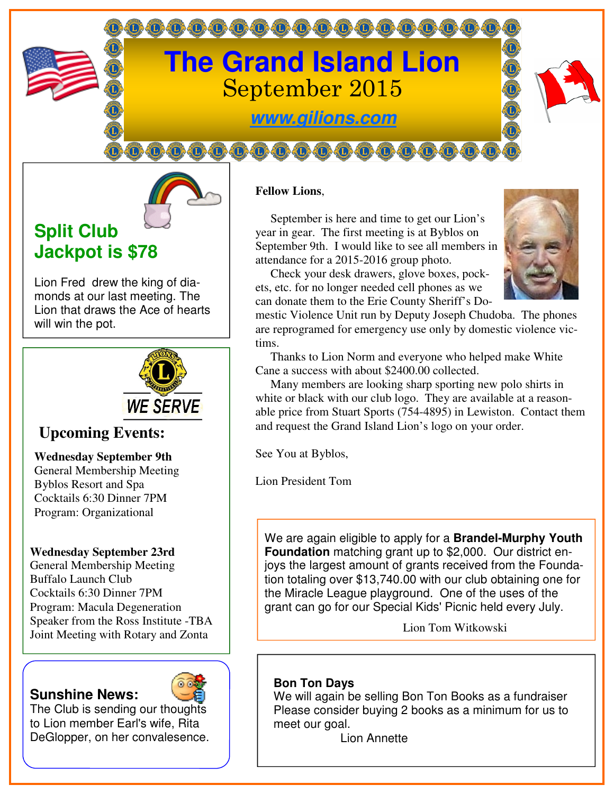



# **Split Club Jackpot is \$78**

Lion Fred drew the king of diamonds at our last meeting. The Lion that draws the Ace of hearts will win the pot.



# **Upcoming Events:**

#### **Wednesday September 9th**

General Membership Meeting Byblos Resort and Spa Cocktails 6:30 Dinner 7PM Program: Organizational

#### **Wednesday September 23rd**

General Membership Meeting Buffalo Launch Club Cocktails 6:30 Dinner 7PM Program: Macula Degeneration Speaker from the Ross Institute -TBA Joint Meeting with Rotary and Zonta

## **Sunshine News:**



The Club is sending our thoughts to Lion member Earl's wife, Rita DeGlopper, on her convalesence.

### **Fellow Lions**,

 September is here and time to get our Lion's year in gear. The first meeting is at Byblos on September 9th. I would like to see all members in attendance for a 2015-2016 group photo.

 Check your desk drawers, glove boxes, pockets, etc. for no longer needed cell phones as we can donate them to the Erie County Sheriff's Do-



mestic Violence Unit run by Deputy Joseph Chudoba. The phones are reprogramed for emergency use only by domestic violence victims.

 Thanks to Lion Norm and everyone who helped make White Cane a success with about \$2400.00 collected.

 Many members are looking sharp sporting new polo shirts in white or black with our club logo. They are available at a reasonable price from Stuart Sports (754-4895) in Lewiston. Contact them and request the Grand Island Lion's logo on your order.

See You at Byblos,

Lion President Tom

We are again eligible to apply for a **Brandel-Murphy Youth Foundation** matching grant up to \$2,000. Our district enjoys the largest amount of grants received from the Foundation totaling over \$13,740.00 with our club obtaining one for the Miracle League playground. One of the uses of the grant can go for our Special Kids' Picnic held every July.

Lion Tom Witkowski

## **Bon Ton Days**

We will again be selling Bon Ton Books as a fundraiser Please consider buying 2 books as a minimum for us to meet our goal.

Lion Annette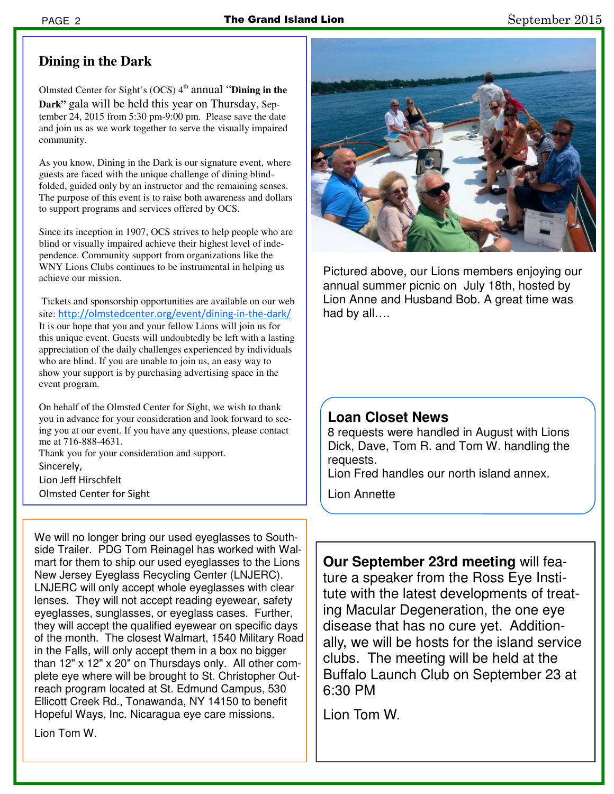## **Dining in the Dark**

Olmsted Center for Sight's (OCS) 4<sup>th</sup> annual "Dining in the **Dark"** gala will be held this year on Thursday, September 24, 2015 from 5:30 pm-9:00 pm. Please save the date and join us as we work together to serve the visually impaired community.

As you know, Dining in the Dark is our signature event, where guests are faced with the unique challenge of dining blindfolded, guided only by an instructor and the remaining senses. The purpose of this event is to raise both awareness and dollars to support programs and services offered by OCS.

Since its inception in 1907, OCS strives to help people who are blind or visually impaired achieve their highest level of independence. Community support from organizations like the WNY Lions Clubs continues to be instrumental in helping us achieve our mission.

 Tickets and sponsorship opportunities are available on our web site: http://olmstedcenter.org/event/dining-in-the-dark/ It is our hope that you and your fellow Lions will join us for this unique event. Guests will undoubtedly be left with a lasting appreciation of the daily challenges experienced by individuals who are blind. If you are unable to join us, an easy way to show your support is by purchasing advertising space in the event program.

On behalf of the Olmsted Center for Sight, we wish to thank you in advance for your consideration and look forward to seeing you at our event. If you have any questions, please contact me at 716-888-4631.

Thank you for your consideration and support. Sincerely, Lion Jeff Hirschfelt Olmsted Center for Sight

We will no longer bring our used eyeglasses to Southside Trailer. PDG Tom Reinagel has worked with Walmart for them to ship our used eyeglasses to the Lions New Jersey Eyeglass Recycling Center (LNJERC). LNJERC will only accept whole eyeglasses with clear lenses. They will not accept reading eyewear, safety eyeglasses, sunglasses, or eyeglass cases. Further, they will accept the qualified eyewear on specific days of the month. The closest Walmart, 1540 Military Road in the Falls, will only accept them in a box no bigger than 12" x 12" x 20" on Thursdays only. All other complete eye where will be brought to St. Christopher Outreach program located at St. Edmund Campus, 530 Ellicott Creek Rd., Tonawanda, NY 14150 to benefit Hopeful Ways, Inc. Nicaragua eye care missions.

Lion Tom W.



Pictured above, our Lions members enjoying our annual summer picnic on July 18th, hosted by Lion Anne and Husband Bob. A great time was had by all….

## **Loan Closet News**

8 requests were handled in August with Lions Dick, Dave, Tom R. and Tom W. handling the requests.

Lion Fred handles our north island annex.

Lion Annette

**Our September 23rd meeting** will feature a speaker from the Ross Eye Institute with the latest developments of treating Macular Degeneration, the one eye disease that has no cure yet. Additionally, we will be hosts for the island service clubs. The meeting will be held at the Buffalo Launch Club on September 23 at 6:30 PM

Lion Tom W.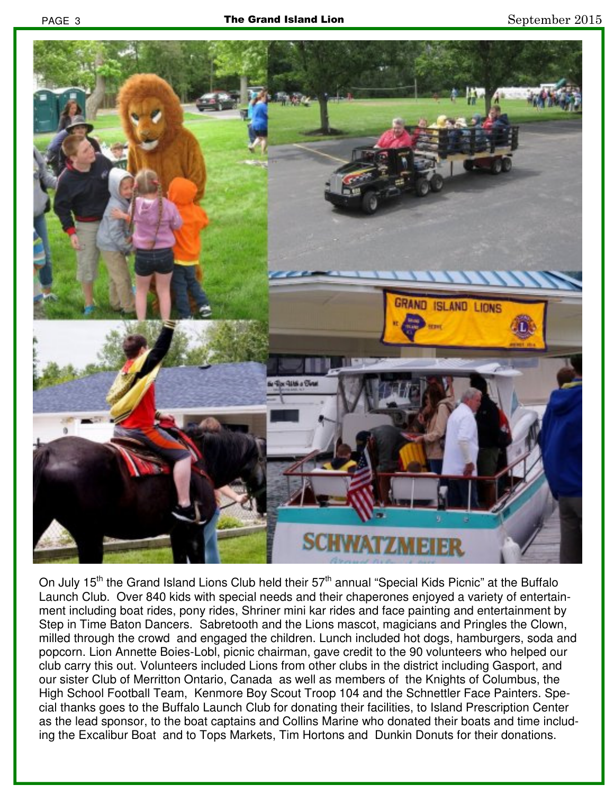

On July 15<sup>th</sup> the Grand Island Lions Club held their 57<sup>th</sup> annual "Special Kids Picnic" at the Buffalo Launch Club. Over 840 kids with special needs and their chaperones enjoyed a variety of entertainment including boat rides, pony rides, Shriner mini kar rides and face painting and entertainment by Step in Time Baton Dancers. Sabretooth and the Lions mascot, magicians and Pringles the Clown, milled through the crowd and engaged the children. Lunch included hot dogs, hamburgers, soda and popcorn. Lion Annette Boies-Lobl, picnic chairman, gave credit to the 90 volunteers who helped our club carry this out. Volunteers included Lions from other clubs in the district including Gasport, and our sister Club of Merritton Ontario, Canada as well as members of the Knights of Columbus, the High School Football Team, Kenmore Boy Scout Troop 104 and the Schnettler Face Painters. Special thanks goes to the Buffalo Launch Club for donating their facilities, to Island Prescription Center as the lead sponsor, to the boat captains and Collins Marine who donated their boats and time including the Excalibur Boat and to Tops Markets, Tim Hortons and Dunkin Donuts for their donations.